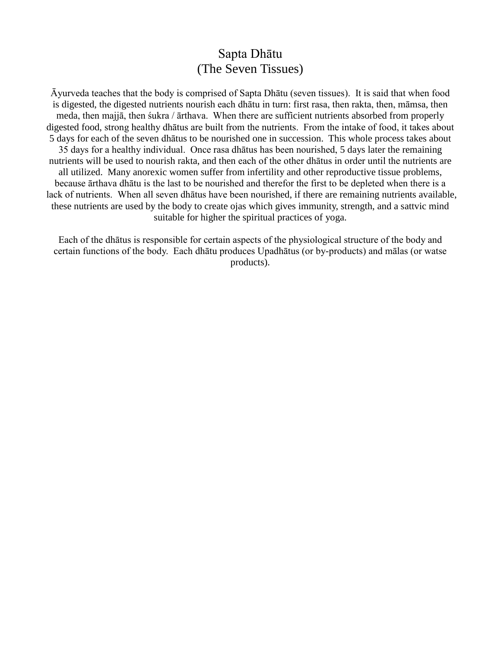## Sapta Dhātu (The Seven Tissues)

Āyurveda teaches that the body is comprised of Sapta Dhātu (seven tissues). It is said that when food is digested, the digested nutrients nourish each dhātu in turn: first rasa, then rakta, then, māmsa, then meda, then majjā, then śukra / ārthava. When there are sufficient nutrients absorbed from properly digested food, strong healthy dhātus are built from the nutrients. From the intake of food, it takes about 5 days for each of the seven dhātus to be nourished one in succession. This whole process takes about 35 days for a healthy individual. Once rasa dhātus has been nourished, 5 days later the remaining nutrients will be used to nourish rakta, and then each of the other dhātus in order until the nutrients are all utilized. Many anorexic women suffer from infertility and other reproductive tissue problems, because ārthava dhātu is the last to be nourished and therefor the first to be depleted when there is a lack of nutrients. When all seven dhātus have been nourished, if there are remaining nutrients available, these nutrients are used by the body to create ojas which gives immunity, strength, and a sattvic mind suitable for higher the spiritual practices of yoga.

Each of the dhātus is responsible for certain aspects of the physiological structure of the body and certain functions of the body. Each dhātu produces Upadhātus (or by-products) and mālas (or watse products).